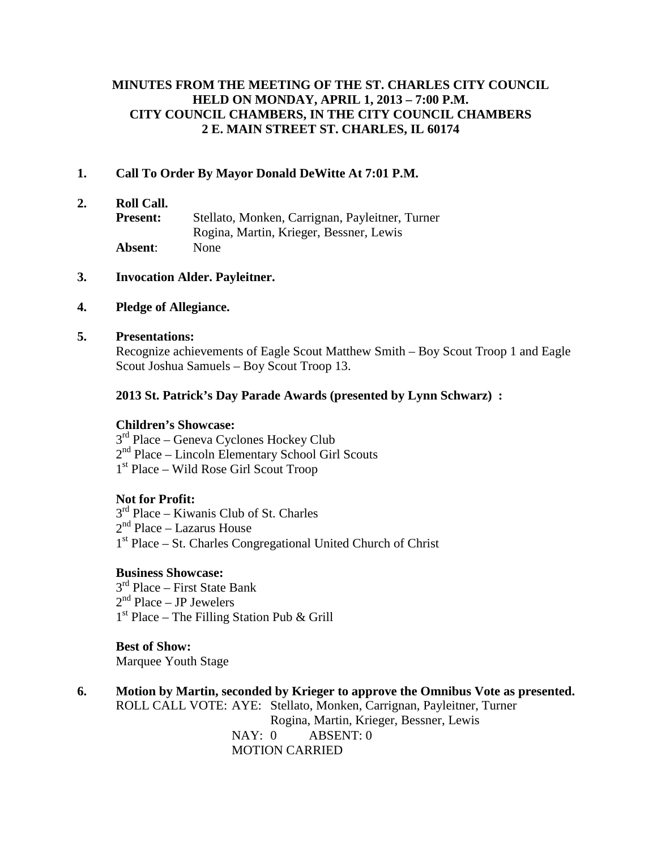#### **MINUTES FROM THE MEETING OF THE ST. CHARLES CITY COUNCIL HELD ON MONDAY, APRIL 1, 2013 – 7:00 P.M. CITY COUNCIL CHAMBERS, IN THE CITY COUNCIL CHAMBERS 2 E. MAIN STREET ST. CHARLES, IL 60174**

#### **1. Call To Order By Mayor Donald DeWitte At 7:01 P.M.**

**2. Roll Call.**

**Present:** Stellato, Monken, Carrignan, Payleitner, Turner Rogina, Martin, Krieger, Bessner, Lewis **Absent**: None

#### **3. Invocation Alder. Payleitner.**

#### **4. Pledge of Allegiance.**

#### **5. Presentations:**

Recognize achievements of Eagle Scout Matthew Smith – Boy Scout Troop 1 and Eagle Scout Joshua Samuels – Boy Scout Troop 13.

#### **2013 St. Patrick's Day Parade Awards (presented by Lynn Schwarz) :**

#### **Children's Showcase:**

 $3<sup>rd</sup>$  Place – Geneva Cyclones Hockey Club 2nd Place – Lincoln Elementary School Girl Scouts 1st Place – Wild Rose Girl Scout Troop

#### **Not for Profit:**

 $3<sup>rd</sup>$  Place – Kiwanis Club of St. Charles  $2<sup>nd</sup>$  Place – Lazarus House 1st Place – St. Charles Congregational United Church of Christ

#### **Business Showcase:**

3<sup>rd</sup> Place – First State Bank  $2<sup>nd</sup> Place – JP Jewelers$  $1<sup>st</sup> Place - The Filling Station Pub & Grill$ 

**Best of Show:** Marquee Youth Stage

**6. Motion by Martin, seconded by Krieger to approve the Omnibus Vote as presented.** ROLL CALL VOTE: AYE: Stellato, Monken, Carrignan, Payleitner, Turner Rogina, Martin, Krieger, Bessner, Lewis NAY: 0 ABSENT: 0 MOTION CARRIED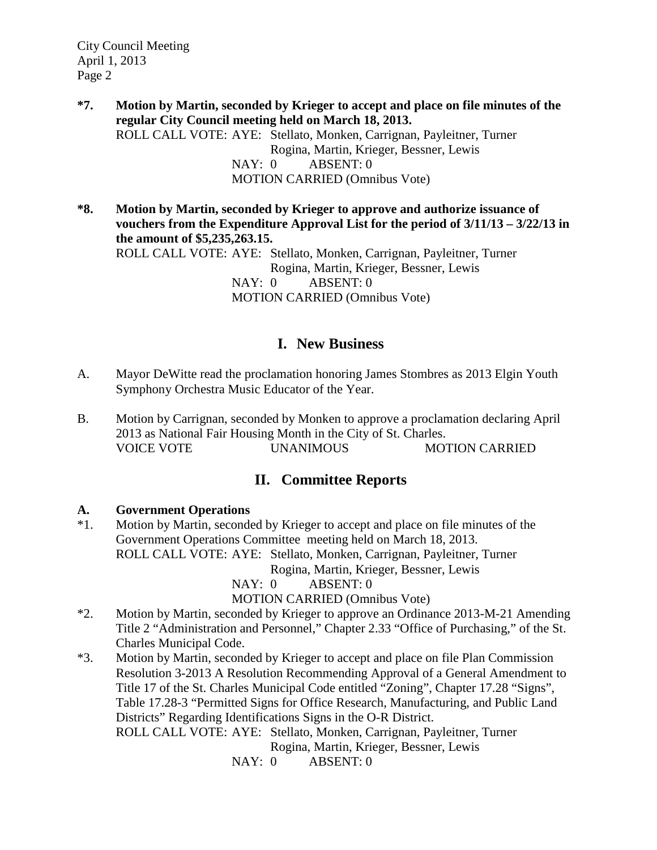- **\*7. Motion by Martin, seconded by Krieger to accept and place on file minutes of the regular City Council meeting held on March 18, 2013.** ROLL CALL VOTE: AYE: Stellato, Monken, Carrignan, Payleitner, Turner Rogina, Martin, Krieger, Bessner, Lewis NAY: 0 ABSENT: 0 MOTION CARRIED (Omnibus Vote)
- **\*8. Motion by Martin, seconded by Krieger to approve and authorize issuance of vouchers from the Expenditure Approval List for the period of 3/11/13 – 3/22/13 in the amount of \$5,235,263.15.**

ROLL CALL VOTE: AYE: Stellato, Monken, Carrignan, Payleitner, Turner Rogina, Martin, Krieger, Bessner, Lewis NAY: 0 ABSENT: 0 MOTION CARRIED (Omnibus Vote)

# **I. New Business**

- A. Mayor DeWitte read the proclamation honoring James Stombres as 2013 Elgin Youth Symphony Orchestra Music Educator of the Year.
- B. Motion by Carrignan, seconded by Monken to approve a proclamation declaring April 2013 as National Fair Housing Month in the City of St. Charles. VOICE VOTE UNANIMOUS MOTION CARRIED

# **II. Committee Reports**

#### **A. Government Operations**

\*1. Motion by Martin, seconded by Krieger to accept and place on file minutes of the Government Operations Committee meeting held on March 18, 2013. ROLL CALL VOTE: AYE: Stellato, Monken, Carrignan, Payleitner, Turner Rogina, Martin, Krieger, Bessner, Lewis

NAY: 0 ABSENT: 0

MOTION CARRIED (Omnibus Vote)

- \*2. Motion by Martin, seconded by Krieger to approve an Ordinance 2013-M-21 Amending Title 2 "Administration and Personnel," Chapter 2.33 "Office of Purchasing," of the St. Charles Municipal Code.
- \*3. Motion by Martin, seconded by Krieger to accept and place on file Plan Commission Resolution 3-2013 A Resolution Recommending Approval of a General Amendment to Title 17 of the St. Charles Municipal Code entitled "Zoning", Chapter 17.28 "Signs", Table 17.28-3 "Permitted Signs for Office Research, Manufacturing, and Public Land Districts" Regarding Identifications Signs in the O-R District. ROLL CALL VOTE: AYE: Stellato, Monken, Carrignan, Payleitner, Turner

Rogina, Martin, Krieger, Bessner, Lewis

NAY: 0 ABSENT: 0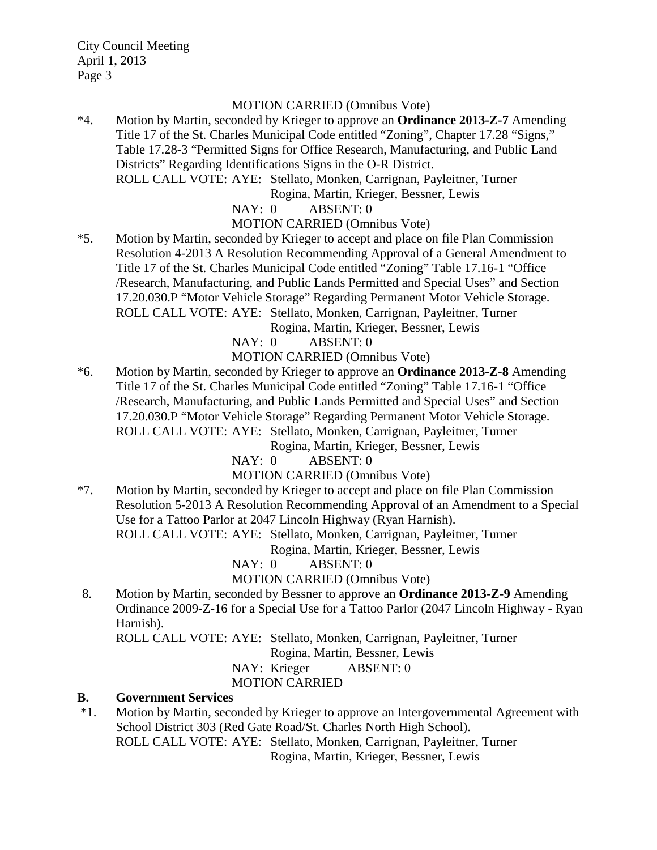#### MOTION CARRIED (Omnibus Vote)

\*4. Motion by Martin, seconded by Krieger to approve an **Ordinance 2013-Z-7** Amending Title 17 of the St. Charles Municipal Code entitled "Zoning", Chapter 17.28 "Signs," Table 17.28-3 "Permitted Signs for Office Research, Manufacturing, and Public Land Districts" Regarding Identifications Signs in the O-R District. ROLL CALL VOTE: AYE: Stellato, Monken, Carrignan, Payleitner, Turner

Rogina, Martin, Krieger, Bessner, Lewis

NAY: 0 ABSENT: 0

MOTION CARRIED (Omnibus Vote)

\*5. Motion by Martin, seconded by Krieger to accept and place on file Plan Commission Resolution 4-2013 A Resolution Recommending Approval of a General Amendment to Title 17 of the St. Charles Municipal Code entitled "Zoning" Table 17.16-1 "Office /Research, Manufacturing, and Public Lands Permitted and Special Uses" and Section 17.20.030.P "Motor Vehicle Storage" Regarding Permanent Motor Vehicle Storage. ROLL CALL VOTE: AYE: Stellato, Monken, Carrignan, Payleitner, Turner

Rogina, Martin, Krieger, Bessner, Lewis

NAY: 0 ABSENT: 0

MOTION CARRIED (Omnibus Vote)

\*6. Motion by Martin, seconded by Krieger to approve an **Ordinance 2013-Z-8** Amending Title 17 of the St. Charles Municipal Code entitled "Zoning" Table 17.16-1 "Office /Research, Manufacturing, and Public Lands Permitted and Special Uses" and Section 17.20.030.P "Motor Vehicle Storage" Regarding Permanent Motor Vehicle Storage. ROLL CALL VOTE: AYE: Stellato, Monken, Carrignan, Payleitner, Turner

Rogina, Martin, Krieger, Bessner, Lewis

NAY: 0 ABSENT: 0

MOTION CARRIED (Omnibus Vote)

\*7. Motion by Martin, seconded by Krieger to accept and place on file Plan Commission Resolution 5-2013 A Resolution Recommending Approval of an Amendment to a Special Use for a Tattoo Parlor at 2047 Lincoln Highway (Ryan Harnish). ROLL CALL VOTE: AYE: Stellato, Monken, Carrignan, Payleitner, Turner

Rogina, Martin, Krieger, Bessner, Lewis

NAY: 0 ABSENT: 0

MOTION CARRIED (Omnibus Vote)

8. Motion by Martin, seconded by Bessner to approve an **Ordinance 2013-Z-9** Amending Ordinance 2009-Z-16 for a Special Use for a Tattoo Parlor (2047 Lincoln Highway - Ryan Harnish).

ROLL CALL VOTE: AYE: Stellato, Monken, Carrignan, Payleitner, Turner

Rogina, Martin, Bessner, Lewis

NAY: Krieger ABSENT: 0

MOTION CARRIED

#### **B. Government Services**

\*1. Motion by Martin, seconded by Krieger to approve an Intergovernmental Agreement with School District 303 (Red Gate Road/St. Charles North High School). ROLL CALL VOTE: AYE: Stellato, Monken, Carrignan, Payleitner, Turner

Rogina, Martin, Krieger, Bessner, Lewis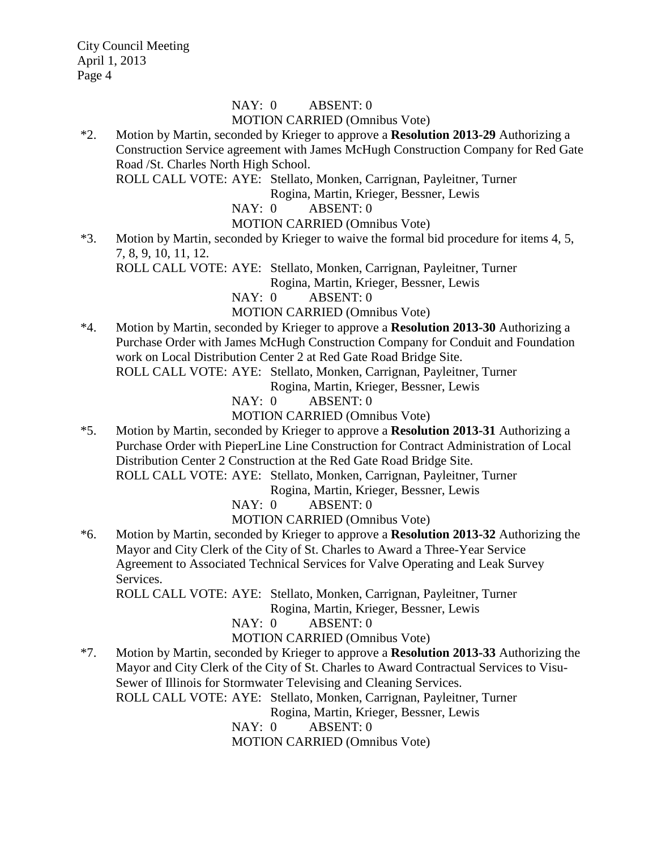#### NAY: 0 ABSENT: 0 MOTION CARRIED (Omnibus Vote)

\*2. Motion by Martin, seconded by Krieger to approve a **Resolution 2013-29** Authorizing a Construction Service agreement with James McHugh Construction Company for Red Gate Road /St. Charles North High School.

ROLL CALL VOTE: AYE: Stellato, Monken, Carrignan, Payleitner, Turner

Rogina, Martin, Krieger, Bessner, Lewis

NAY: 0 ABSENT: 0

MOTION CARRIED (Omnibus Vote)

\*3. Motion by Martin, seconded by Krieger to waive the formal bid procedure for items 4, 5, 7, 8, 9, 10, 11, 12.

ROLL CALL VOTE: AYE: Stellato, Monken, Carrignan, Payleitner, Turner

Rogina, Martin, Krieger, Bessner, Lewis

NAY: 0 ABSENT: 0

MOTION CARRIED (Omnibus Vote)

\*4. Motion by Martin, seconded by Krieger to approve a **Resolution 2013-30** Authorizing a Purchase Order with James McHugh Construction Company for Conduit and Foundation work on Local Distribution Center 2 at Red Gate Road Bridge Site.

ROLL CALL VOTE: AYE: Stellato, Monken, Carrignan, Payleitner, Turner

Rogina, Martin, Krieger, Bessner, Lewis

NAY: 0 ABSENT: 0

MOTION CARRIED (Omnibus Vote)

\*5. Motion by Martin, seconded by Krieger to approve a **Resolution 2013-31** Authorizing a Purchase Order with PieperLine Line Construction for Contract Administration of Local Distribution Center 2 Construction at the Red Gate Road Bridge Site.

ROLL CALL VOTE: AYE: Stellato, Monken, Carrignan, Payleitner, Turner

Rogina, Martin, Krieger, Bessner, Lewis

NAY: 0 ABSENT: 0

MOTION CARRIED (Omnibus Vote)

\*6. Motion by Martin, seconded by Krieger to approve a **Resolution 2013-32** Authorizing the Mayor and City Clerk of the City of St. Charles to Award a Three-Year Service Agreement to Associated Technical Services for Valve Operating and Leak Survey Services.

ROLL CALL VOTE: AYE: Stellato, Monken, Carrignan, Payleitner, Turner

Rogina, Martin, Krieger, Bessner, Lewis

NAY: 0 ABSENT: 0

MOTION CARRIED (Omnibus Vote)

\*7. Motion by Martin, seconded by Krieger to approve a **Resolution 2013-33** Authorizing the Mayor and City Clerk of the City of St. Charles to Award Contractual Services to Visu-Sewer of Illinois for Stormwater Televising and Cleaning Services.

ROLL CALL VOTE: AYE: Stellato, Monken, Carrignan, Payleitner, Turner

Rogina, Martin, Krieger, Bessner, Lewis

NAY: 0 ABSENT: 0

MOTION CARRIED (Omnibus Vote)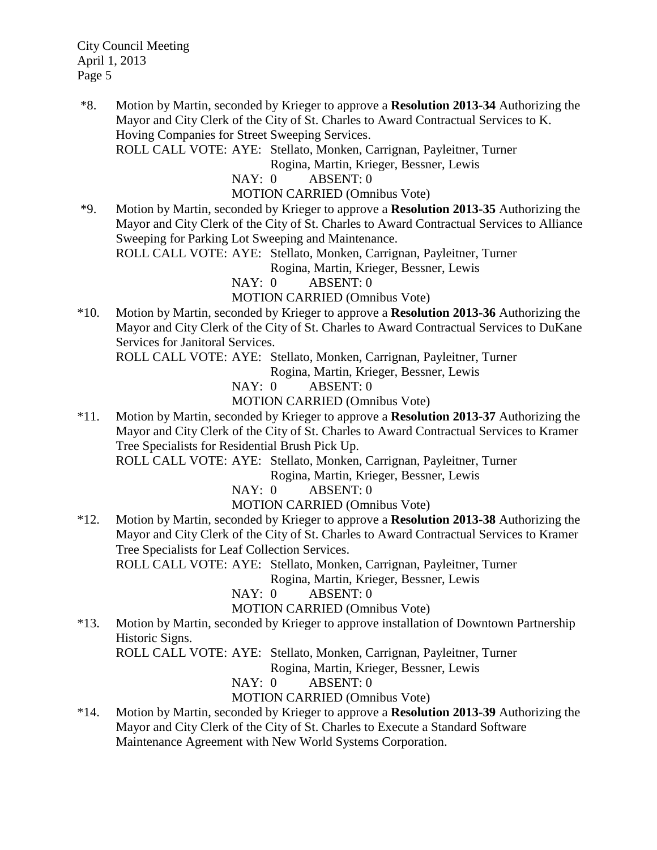\*8. Motion by Martin, seconded by Krieger to approve a **Resolution 2013-34** Authorizing the Mayor and City Clerk of the City of St. Charles to Award Contractual Services to K. Hoving Companies for Street Sweeping Services.

ROLL CALL VOTE: AYE: Stellato, Monken, Carrignan, Payleitner, Turner

Rogina, Martin, Krieger, Bessner, Lewis

NAY: 0 ABSENT: 0

MOTION CARRIED (Omnibus Vote)

\*9. Motion by Martin, seconded by Krieger to approve a **Resolution 2013-35** Authorizing the Mayor and City Clerk of the City of St. Charles to Award Contractual Services to Alliance Sweeping for Parking Lot Sweeping and Maintenance.

ROLL CALL VOTE: AYE: Stellato, Monken, Carrignan, Payleitner, Turner

Rogina, Martin, Krieger, Bessner, Lewis

NAY: 0 ABSENT: 0

MOTION CARRIED (Omnibus Vote)

\*10. Motion by Martin, seconded by Krieger to approve a **Resolution 2013-36** Authorizing the Mayor and City Clerk of the City of St. Charles to Award Contractual Services to DuKane Services for Janitoral Services.

ROLL CALL VOTE: AYE: Stellato, Monken, Carrignan, Payleitner, Turner

Rogina, Martin, Krieger, Bessner, Lewis

NAY: 0 ABSENT: 0

MOTION CARRIED (Omnibus Vote)

\*11. Motion by Martin, seconded by Krieger to approve a **Resolution 2013-37** Authorizing the Mayor and City Clerk of the City of St. Charles to Award Contractual Services to Kramer Tree Specialists for Residential Brush Pick Up.

ROLL CALL VOTE: AYE: Stellato, Monken, Carrignan, Payleitner, Turner

Rogina, Martin, Krieger, Bessner, Lewis

NAY: 0 ABSENT: 0

MOTION CARRIED (Omnibus Vote)

\*12. Motion by Martin, seconded by Krieger to approve a **Resolution 2013-38** Authorizing the Mayor and City Clerk of the City of St. Charles to Award Contractual Services to Kramer Tree Specialists for Leaf Collection Services.

ROLL CALL VOTE: AYE: Stellato, Monken, Carrignan, Payleitner, Turner

Rogina, Martin, Krieger, Bessner, Lewis

NAY: 0 ABSENT: 0

MOTION CARRIED (Omnibus Vote)

\*13. Motion by Martin, seconded by Krieger to approve installation of Downtown Partnership Historic Signs.

ROLL CALL VOTE: AYE: Stellato, Monken, Carrignan, Payleitner, Turner

Rogina, Martin, Krieger, Bessner, Lewis

NAY: 0 ABSENT: 0

MOTION CARRIED (Omnibus Vote)

\*14. Motion by Martin, seconded by Krieger to approve a **Resolution 2013-39** Authorizing the Mayor and City Clerk of the City of St. Charles to Execute a Standard Software Maintenance Agreement with New World Systems Corporation.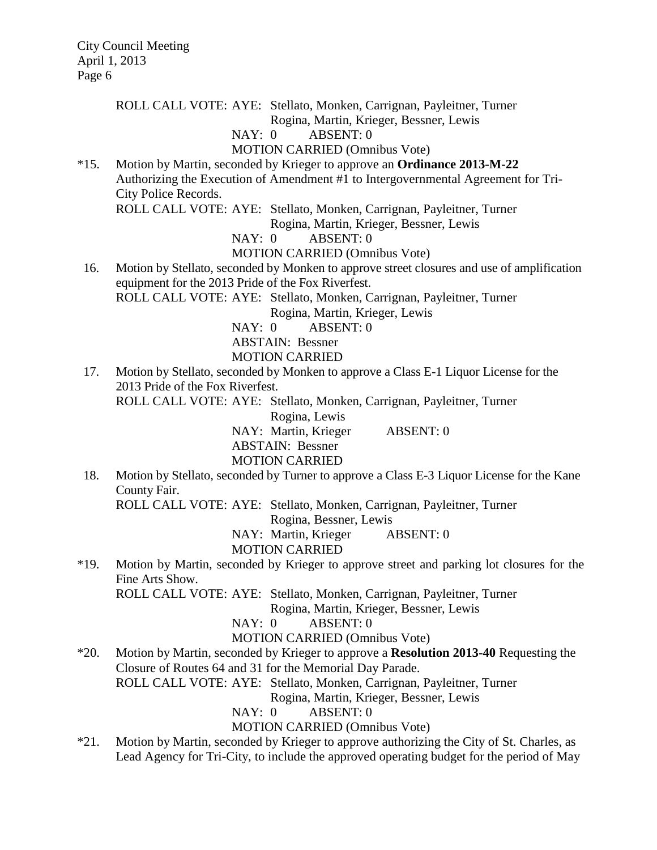ROLL CALL VOTE: AYE: Stellato, Monken, Carrignan, Payleitner, Turner

Rogina, Martin, Krieger, Bessner, Lewis

# NAY: 0 ABSENT: 0

## MOTION CARRIED (Omnibus Vote)

\*15. Motion by Martin, seconded by Krieger to approve an **Ordinance 2013-M-22** Authorizing the Execution of Amendment #1 to Intergovernmental Agreement for Tri-City Police Records.

ROLL CALL VOTE: AYE: Stellato, Monken, Carrignan, Payleitner, Turner

Rogina, Martin, Krieger, Bessner, Lewis

NAY: 0 ABSENT: 0

MOTION CARRIED (Omnibus Vote)

16. Motion by Stellato, seconded by Monken to approve street closures and use of amplification equipment for the 2013 Pride of the Fox Riverfest.

ROLL CALL VOTE: AYE: Stellato, Monken, Carrignan, Payleitner, Turner

Rogina, Martin, Krieger, Lewis

NAY: 0 ABSENT: 0

ABSTAIN: Bessner

MOTION CARRIED

17. Motion by Stellato, seconded by Monken to approve a Class E-1 Liquor License for the 2013 Pride of the Fox Riverfest.

ROLL CALL VOTE: AYE: Stellato, Monken, Carrignan, Payleitner, Turner

Rogina, Lewis

NAY: Martin, Krieger ABSENT: 0

ABSTAIN: Bessner

MOTION CARRIED

18. Motion by Stellato, seconded by Turner to approve a Class E-3 Liquor License for the Kane County Fair.

ROLL CALL VOTE: AYE: Stellato, Monken, Carrignan, Payleitner, Turner

Rogina, Bessner, Lewis

NAY: Martin, Krieger ABSENT: 0

## MOTION CARRIED

\*19. Motion by Martin, seconded by Krieger to approve street and parking lot closures for the Fine Arts Show.

ROLL CALL VOTE: AYE: Stellato, Monken, Carrignan, Payleitner, Turner

Rogina, Martin, Krieger, Bessner, Lewis

NAY: 0 ABSENT: 0

## MOTION CARRIED (Omnibus Vote)

\*20. Motion by Martin, seconded by Krieger to approve a **Resolution 2013-40** Requesting the Closure of Routes 64 and 31 for the Memorial Day Parade. ROLL CALL VOTE: AYE: Stellato, Monken, Carrignan, Payleitner, Turner

Rogina, Martin, Krieger, Bessner, Lewis

NAY: 0 ABSENT: 0

MOTION CARRIED (Omnibus Vote)

\*21. Motion by Martin, seconded by Krieger to approve authorizing the City of St. Charles, as Lead Agency for Tri-City, to include the approved operating budget for the period of May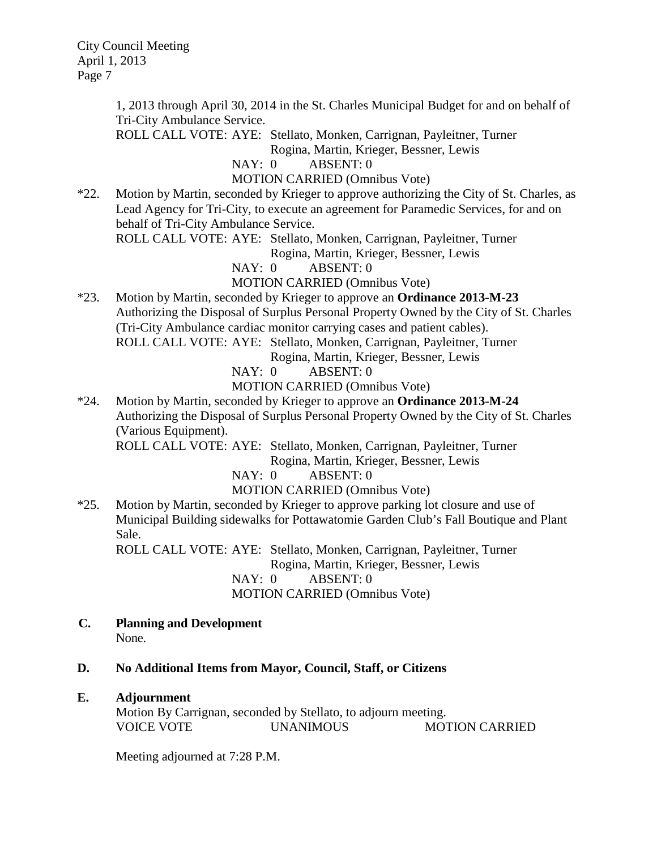> 1, 2013 through April 30, 2014 in the St. Charles Municipal Budget for and on behalf of Tri-City Ambulance Service.

ROLL CALL VOTE: AYE: Stellato, Monken, Carrignan, Payleitner, Turner

Rogina, Martin, Krieger, Bessner, Lewis

NAY: 0 ABSENT: 0

MOTION CARRIED (Omnibus Vote)

\*22. Motion by Martin, seconded by Krieger to approve authorizing the City of St. Charles, as Lead Agency for Tri-City, to execute an agreement for Paramedic Services, for and on behalf of Tri-City Ambulance Service.

ROLL CALL VOTE: AYE: Stellato, Monken, Carrignan, Payleitner, Turner

Rogina, Martin, Krieger, Bessner, Lewis

NAY: 0 ABSENT: 0

## MOTION CARRIED (Omnibus Vote)

\*23. Motion by Martin, seconded by Krieger to approve an **Ordinance 2013-M-23** Authorizing the Disposal of Surplus Personal Property Owned by the City of St. Charles (Tri-City Ambulance cardiac monitor carrying cases and patient cables). ROLL CALL VOTE: AYE: Stellato, Monken, Carrignan, Payleitner, Turner

Rogina, Martin, Krieger, Bessner, Lewis

NAY: 0 ABSENT: 0

MOTION CARRIED (Omnibus Vote)

\*24. Motion by Martin, seconded by Krieger to approve an **Ordinance 2013-M-24** Authorizing the Disposal of Surplus Personal Property Owned by the City of St. Charles (Various Equipment).

ROLL CALL VOTE: AYE: Stellato, Monken, Carrignan, Payleitner, Turner

Rogina, Martin, Krieger, Bessner, Lewis

NAY: 0 ABSENT: 0

MOTION CARRIED (Omnibus Vote)

\*25. Motion by Martin, seconded by Krieger to approve parking lot closure and use of Municipal Building sidewalks for Pottawatomie Garden Club's Fall Boutique and Plant Sale.

ROLL CALL VOTE: AYE: Stellato, Monken, Carrignan, Payleitner, Turner Rogina, Martin, Krieger, Bessner, Lewis NAY: 0 ABSENT: 0 MOTION CARRIED (Omnibus Vote)

 **C. Planning and Development** None.

## **D. No Additional Items from Mayor, Council, Staff, or Citizens**

## **E. Adjournment**

Motion By Carrignan, seconded by Stellato, to adjourn meeting. VOICE VOTE UNANIMOUS MOTION CARRIED

Meeting adjourned at 7:28 P.M.